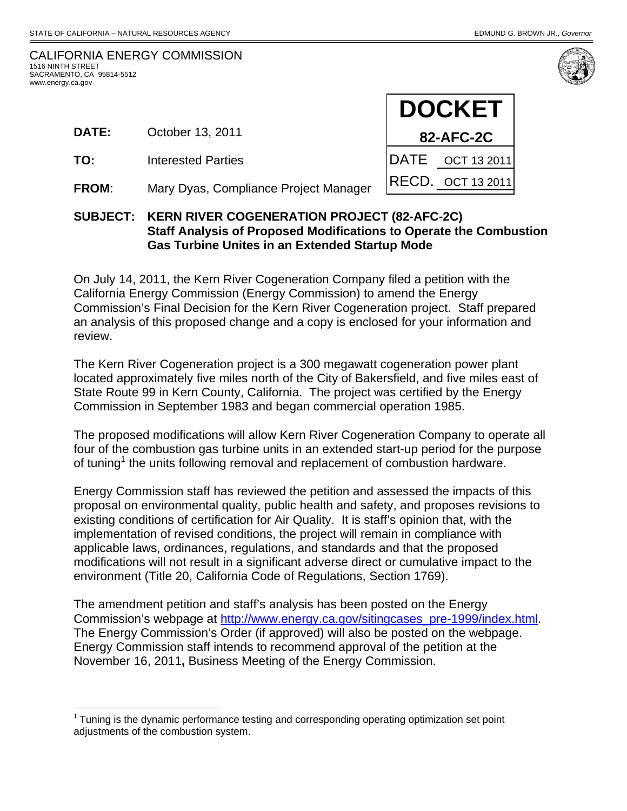| CALIFORNIA ENERGY COMMISSION |
|------------------------------|
| 1516 NINTH STREET            |
| SACRAMENTO. CA 95814-5512    |
| www.energy.ca.gov            |

 $\overline{a}$ 

- **DATE:** October 13, 2011
- **TO:** Interested Parties
- **FROM**: Mary Dyas, Compliance Project Manager



### **SUBJECT: KERN RIVER COGENERATION PROJECT (82-AFC-2C) Staff Analysis of Proposed Modifications to Operate the Combustion Gas Turbine Unites in an Extended Startup Mode**

On July 14, 2011, the Kern River Cogeneration Company filed a petition with the California Energy Commission (Energy Commission) to amend the Energy Commission's Final Decision for the Kern River Cogeneration project. Staff prepared an analysis of this proposed change and a copy is enclosed for your information and review.

The Kern River Cogeneration project is a 300 megawatt cogeneration power plant located approximately five miles north of the City of Bakersfield, and five miles east of State Route 99 in Kern County, California. The project was certified by the Energy Commission in September 1983 and began commercial operation 1985.

The proposed modifications will allow Kern River Cogeneration Company to operate all four of the combustion gas turbine units in an extended start-up period for the purpose of tuning<sup>1</sup> the units following removal and replacement of combustion hardware.

Energy Commission staff has reviewed the petition and assessed the impacts of this proposal on environmental quality, public health and safety, and proposes revisions to existing conditions of certification for Air Quality. It is staff's opinion that, with the implementation of revised conditions, the project will remain in compliance with applicable laws, ordinances, regulations, and standards and that the proposed modifications will not result in a significant adverse direct or cumulative impact to the environment (Title 20, California Code of Regulations, Section 1769).

The amendment petition and staff's analysis has been posted on the Energy Commission's webpage at http://www.energy.ca.gov/sitingcases\_pre-1999/index.html. The Energy Commission's Order (if approved) will also be posted on the webpage. Energy Commission staff intends to recommend approval of the petition at the November 16, 2011**,** Business Meeting of the Energy Commission.

 $1$  Tuning is the dynamic performance testing and corresponding operating optimization set point adjustments of the combustion system.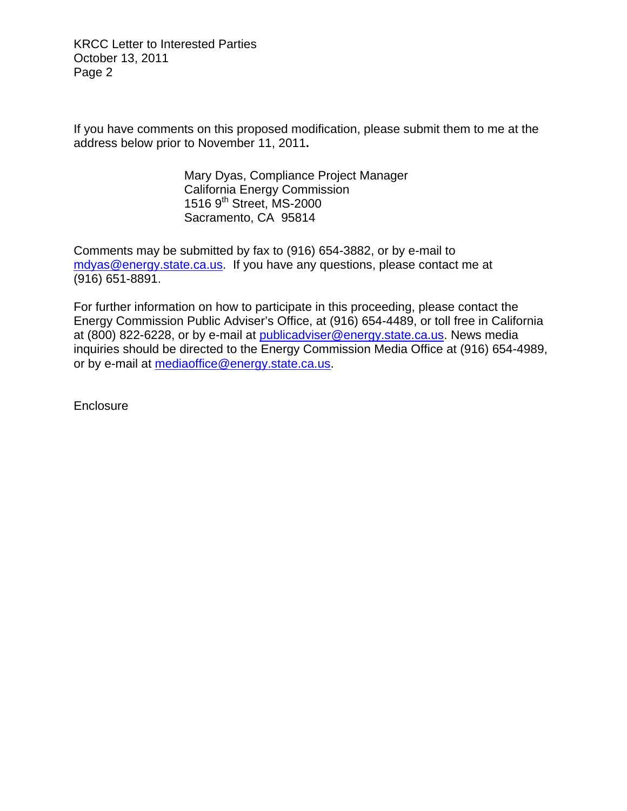KRCC Letter to Interested Parties October 13, 2011 Page 2

If you have comments on this proposed modification, please submit them to me at the address below prior to November 11, 2011**.**

> Mary Dyas, Compliance Project Manager California Energy Commission 1516 9<sup>th</sup> Street, MS-2000 Sacramento, CA 95814

Comments may be submitted by fax to (916) 654-3882, or by e-mail to mdyas@energy.state.ca.us. If you have any questions, please contact me at (916) 651-8891.

For further information on how to participate in this proceeding, please contact the Energy Commission Public Adviser's Office, at (916) 654-4489, or toll free in California at (800) 822-6228, or by e-mail at publicadviser@energy.state.ca.us. News media inquiries should be directed to the Energy Commission Media Office at (916) 654-4989, or by e-mail at mediaoffice@energy.state.ca.us.

**Enclosure**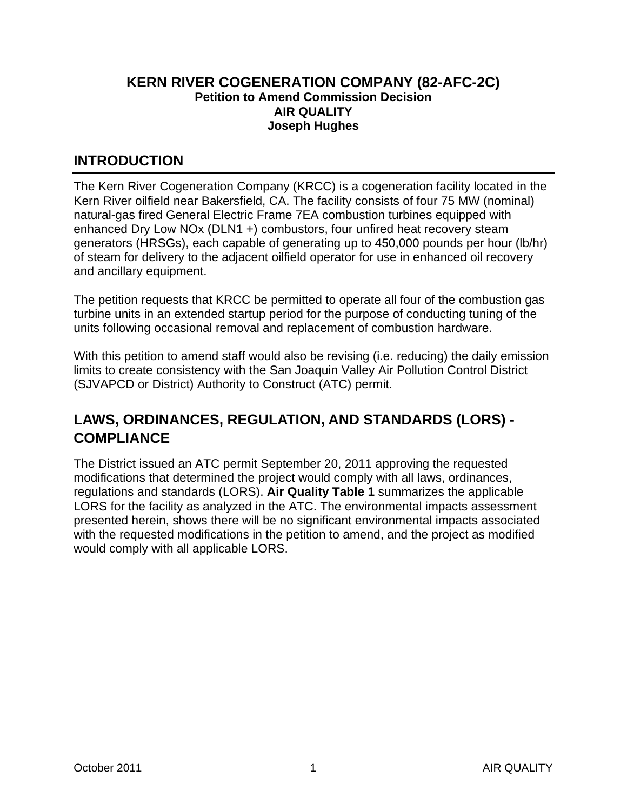### **KERN RIVER COGENERATION COMPANY (82-AFC-2C) Petition to Amend Commission Decision AIR QUALITY Joseph Hughes**

### **INTRODUCTION**

The Kern River Cogeneration Company (KRCC) is a cogeneration facility located in the Kern River oilfield near Bakersfield, CA. The facility consists of four 75 MW (nominal) natural-gas fired General Electric Frame 7EA combustion turbines equipped with enhanced Dry Low NOx (DLN1 +) combustors, four unfired heat recovery steam generators (HRSGs), each capable of generating up to 450,000 pounds per hour (lb/hr) of steam for delivery to the adjacent oilfield operator for use in enhanced oil recovery and ancillary equipment.

The petition requests that KRCC be permitted to operate all four of the combustion gas turbine units in an extended startup period for the purpose of conducting tuning of the units following occasional removal and replacement of combustion hardware.

With this petition to amend staff would also be revising (i.e. reducing) the daily emission limits to create consistency with the San Joaquin Valley Air Pollution Control District (SJVAPCD or District) Authority to Construct (ATC) permit.

# **LAWS, ORDINANCES, REGULATION, AND STANDARDS (LORS) - COMPLIANCE**

The District issued an ATC permit September 20, 2011 approving the requested modifications that determined the project would comply with all laws, ordinances, regulations and standards (LORS). **Air Quality Table 1** summarizes the applicable LORS for the facility as analyzed in the ATC. The environmental impacts assessment presented herein, shows there will be no significant environmental impacts associated with the requested modifications in the petition to amend, and the project as modified would comply with all applicable LORS.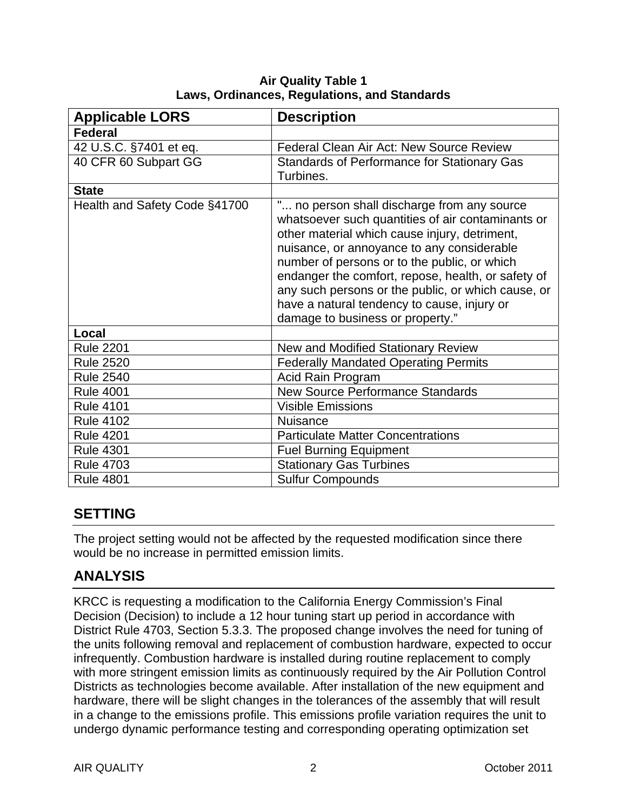| <b>Applicable LORS</b>        | <b>Description</b>                                 |
|-------------------------------|----------------------------------------------------|
| <b>Federal</b>                |                                                    |
| 42 U.S.C. §7401 et eq.        | Federal Clean Air Act: New Source Review           |
| 40 CFR 60 Subpart GG          | <b>Standards of Performance for Stationary Gas</b> |
|                               | Turbines.                                          |
| <b>State</b>                  |                                                    |
| Health and Safety Code §41700 | " no person shall discharge from any source        |
|                               | whatsoever such quantities of air contaminants or  |
|                               | other material which cause injury, detriment,      |
|                               | nuisance, or annoyance to any considerable         |
|                               | number of persons or to the public, or which       |
|                               | endanger the comfort, repose, health, or safety of |
|                               | any such persons or the public, or which cause, or |
|                               | have a natural tendency to cause, injury or        |
|                               | damage to business or property."                   |
| Local                         |                                                    |
| <b>Rule 2201</b>              | New and Modified Stationary Review                 |
| <b>Rule 2520</b>              | <b>Federally Mandated Operating Permits</b>        |
| <b>Rule 2540</b>              | Acid Rain Program                                  |
| <b>Rule 4001</b>              | <b>New Source Performance Standards</b>            |
| <b>Rule 4101</b>              | <b>Visible Emissions</b>                           |
| <b>Rule 4102</b>              | <b>Nuisance</b>                                    |
| <b>Rule 4201</b>              | <b>Particulate Matter Concentrations</b>           |
| <b>Rule 4301</b>              | <b>Fuel Burning Equipment</b>                      |
| <b>Rule 4703</b>              | <b>Stationary Gas Turbines</b>                     |
| <b>Rule 4801</b>              | <b>Sulfur Compounds</b>                            |

**Air Quality Table 1 Laws, Ordinances, Regulations, and Standards** 

## **SETTING**

The project setting would not be affected by the requested modification since there would be no increase in permitted emission limits.

## **ANALYSIS**

KRCC is requesting a modification to the California Energy Commission's Final Decision (Decision) to include a 12 hour tuning start up period in accordance with District Rule 4703, Section 5.3.3. The proposed change involves the need for tuning of the units following removal and replacement of combustion hardware, expected to occur infrequently. Combustion hardware is installed during routine replacement to comply with more stringent emission limits as continuously required by the Air Pollution Control Districts as technologies become available. After installation of the new equipment and hardware, there will be slight changes in the tolerances of the assembly that will result in a change to the emissions profile. This emissions profile variation requires the unit to undergo dynamic performance testing and corresponding operating optimization set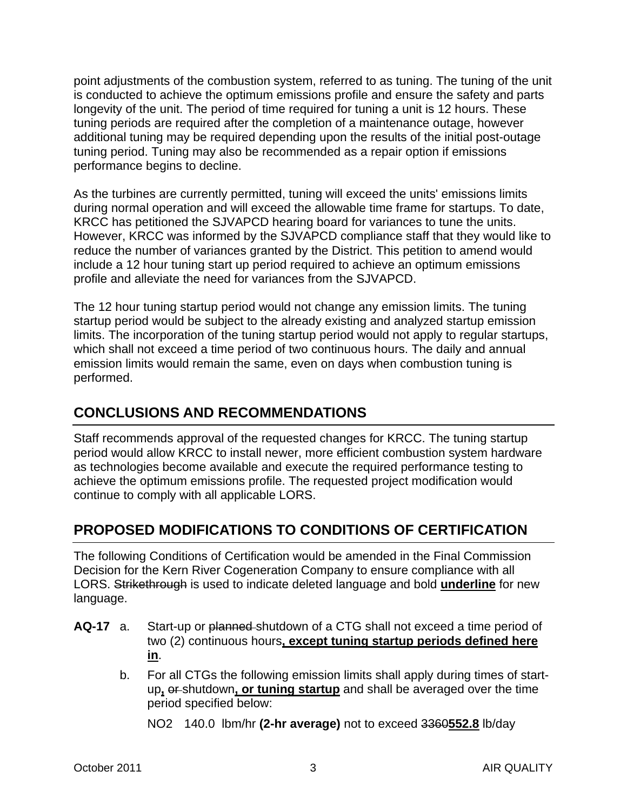point adjustments of the combustion system, referred to as tuning. The tuning of the unit is conducted to achieve the optimum emissions profile and ensure the safety and parts longevity of the unit. The period of time required for tuning a unit is 12 hours. These tuning periods are required after the completion of a maintenance outage, however additional tuning may be required depending upon the results of the initial post-outage tuning period. Tuning may also be recommended as a repair option if emissions performance begins to decline.

As the turbines are currently permitted, tuning will exceed the units' emissions limits during normal operation and will exceed the allowable time frame for startups. To date, KRCC has petitioned the SJVAPCD hearing board for variances to tune the units. However, KRCC was informed by the SJVAPCD compliance staff that they would like to reduce the number of variances granted by the District. This petition to amend would include a 12 hour tuning start up period required to achieve an optimum emissions profile and alleviate the need for variances from the SJVAPCD.

The 12 hour tuning startup period would not change any emission limits. The tuning startup period would be subject to the already existing and analyzed startup emission limits. The incorporation of the tuning startup period would not apply to regular startups, which shall not exceed a time period of two continuous hours. The daily and annual emission limits would remain the same, even on days when combustion tuning is performed.

## **CONCLUSIONS AND RECOMMENDATIONS**

Staff recommends approval of the requested changes for KRCC. The tuning startup period would allow KRCC to install newer, more efficient combustion system hardware as technologies become available and execute the required performance testing to achieve the optimum emissions profile. The requested project modification would continue to comply with all applicable LORS.

## **PROPOSED MODIFICATIONS TO CONDITIONS OF CERTIFICATION**

The following Conditions of Certification would be amended in the Final Commission Decision for the Kern River Cogeneration Company to ensure compliance with all LORS. Strikethrough is used to indicate deleted language and bold **underline** for new language.

- **AQ-17** a. Start-up or planned shutdown of a CTG shall not exceed a time period of two (2) continuous hours**, except tuning startup periods defined here in**.
	- b. For all CTGs the following emission limits shall apply during times of startup**,** or shutdown**, or tuning startup** and shall be averaged over the time period specified below:
		- NO2 140.0 lbm/hr **(2-hr average)** not to exceed 3360**552.8** lb/day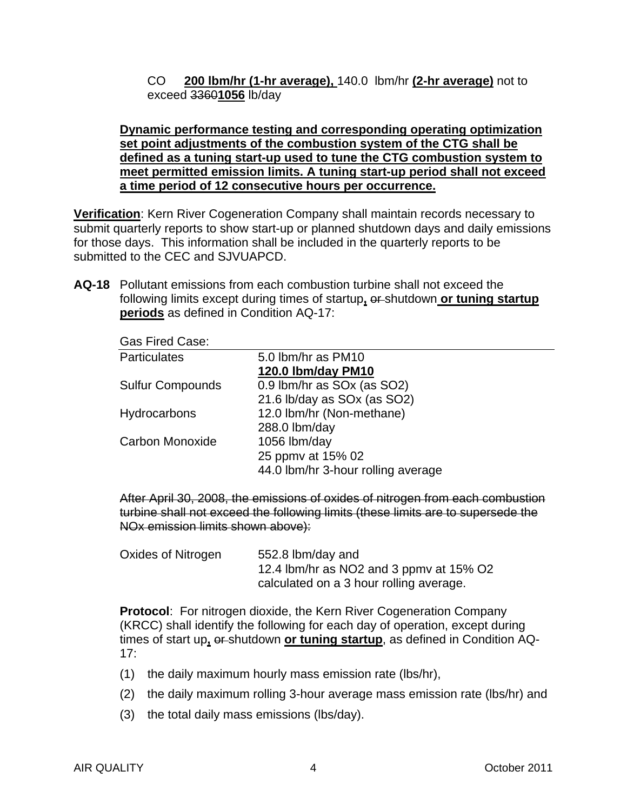CO **200 lbm/hr (1-hr average),** 140.0 lbm/hr **(2-hr average)** not to exceed 3360**1056** lb/day

#### **Dynamic performance testing and corresponding operating optimization set point adjustments of the combustion system of the CTG shall be defined as a tuning start-up used to tune the CTG combustion system to meet permitted emission limits. A tuning start-up period shall not exceed a time period of 12 consecutive hours per occurrence.**

**Verification**: Kern River Cogeneration Company shall maintain records necessary to submit quarterly reports to show start-up or planned shutdown days and daily emissions for those days. This information shall be included in the quarterly reports to be submitted to the CEC and SJVUAPCD.

**AQ-18** Pollutant emissions from each combustion turbine shall not exceed the following limits except during times of startup**,** or shutdown **or tuning startup periods** as defined in Condition AQ-17:

| <b>Gas Fired Case:</b> |  |
|------------------------|--|
| <b>Particulates</b>    |  |

| <b>Particulates</b>     | 5.0 lbm/hr as PM10                 |  |
|-------------------------|------------------------------------|--|
|                         | 120.0 lbm/day PM10                 |  |
| <b>Sulfur Compounds</b> | 0.9 lbm/hr as SOx (as SO2)         |  |
|                         | 21.6 lb/day as SOx (as SO2)        |  |
| Hydrocarbons            | 12.0 lbm/hr (Non-methane)          |  |
|                         | 288.0 lbm/day                      |  |
| Carbon Monoxide         | 1056 lbm/day                       |  |
|                         | 25 ppmv at 15% 02                  |  |
|                         | 44.0 lbm/hr 3-hour rolling average |  |
|                         |                                    |  |

After April 30, 2008, the emissions of oxides of nitrogen from each combustion turbine shall not exceed the following limits (these limits are to supersede the NOx emission limits shown above):

| Oxides of Nitrogen | 552.8 lbm/day and                       |
|--------------------|-----------------------------------------|
|                    | 12.4 lbm/hr as NO2 and 3 ppmv at 15% O2 |
|                    | calculated on a 3 hour rolling average. |

**Protocol**: For nitrogen dioxide, the Kern River Cogeneration Company (KRCC) shall identify the following for each day of operation, except during times of start up**,** or shutdown **or tuning startup**, as defined in Condition AQ-17:

- (1) the daily maximum hourly mass emission rate (lbs/hr),
- (2) the daily maximum rolling 3-hour average mass emission rate (lbs/hr) and
- (3) the total daily mass emissions (lbs/day).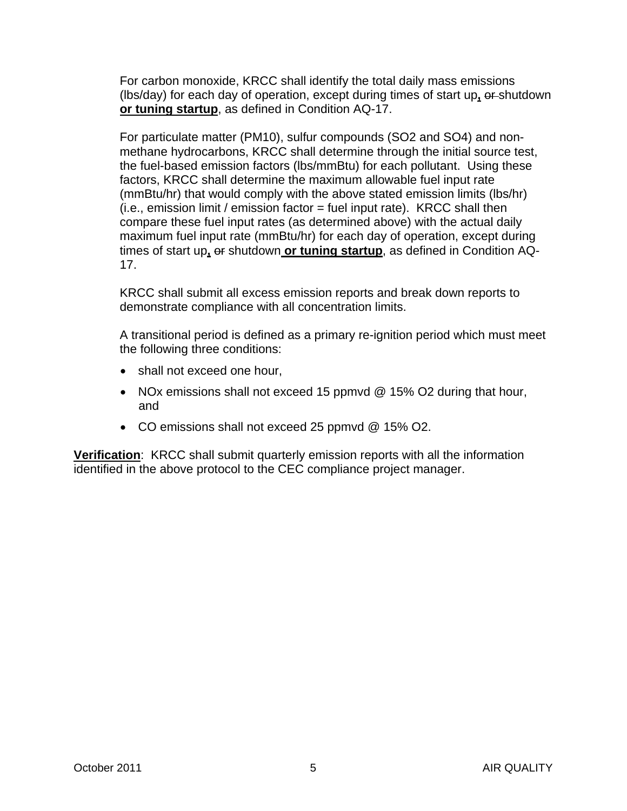For carbon monoxide, KRCC shall identify the total daily mass emissions (lbs/day) for each day of operation, except during times of start up**,** or shutdown **or tuning startup**, as defined in Condition AQ-17.

For particulate matter (PM10), sulfur compounds (SO2 and SO4) and nonmethane hydrocarbons, KRCC shall determine through the initial source test, the fuel-based emission factors (lbs/mmBtu) for each pollutant. Using these factors, KRCC shall determine the maximum allowable fuel input rate (mmBtu/hr) that would comply with the above stated emission limits (lbs/hr)  $(i.e., emission limit / emission factor = fuel input rate)$ . KRCC shall then compare these fuel input rates (as determined above) with the actual daily maximum fuel input rate (mmBtu/hr) for each day of operation, except during times of start up**,** or shutdown **or tuning startup**, as defined in Condition AQ-17.

KRCC shall submit all excess emission reports and break down reports to demonstrate compliance with all concentration limits.

A transitional period is defined as a primary re-ignition period which must meet the following three conditions:

- shall not exceed one hour,
- NOx emissions shall not exceed 15 ppmvd @ 15% O2 during that hour, and
- CO emissions shall not exceed 25 ppmvd @ 15% O2.

**Verification**: KRCC shall submit quarterly emission reports with all the information identified in the above protocol to the CEC compliance project manager.